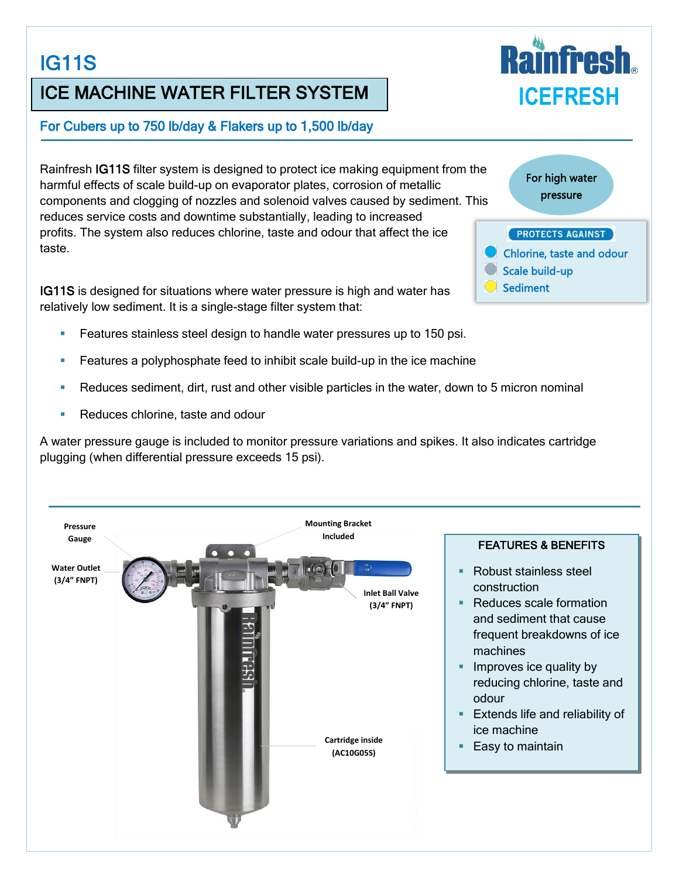# IG11S

## ICE MACHINE WATER FILTER SYSTEM

#### For Cubers up to 750 lb/day & Flakers up to 1,500 lb/day

Rainfresh IG11S filter system is designed to protect ice making equipment from the harmful effects of scale build-up on evaporator plates, corrosion of metallic components and clogging of nozzles and solenoid valves caused by sediment. This reduces service costs and downtime substantially, leading to increased profits. The system also reduces chlorine, taste and odour that affect the ice taste.

IG11S is designed for situations where water pressure is high and water has relatively low sediment. It is a single-stage filter system that:

- Features stainless steel design to handle water pressures up to 150 psi.
- Features a polyphosphate feed to inhibit scale build-up in the ice machine
- Reduces sediment, dirt, rust and other visible particles in the water, down to 5 micron nominal
- Reduces chlorine, taste and odour

A water pressure gauge is included to monitor pressure variations and spikes. It also indicates cartridge plugging (when differential pressure exceeds 15 psi).



For high water pressure **PROTECTS AGAINST** Chlorine, taste and odour Scale build-up **Sediment**